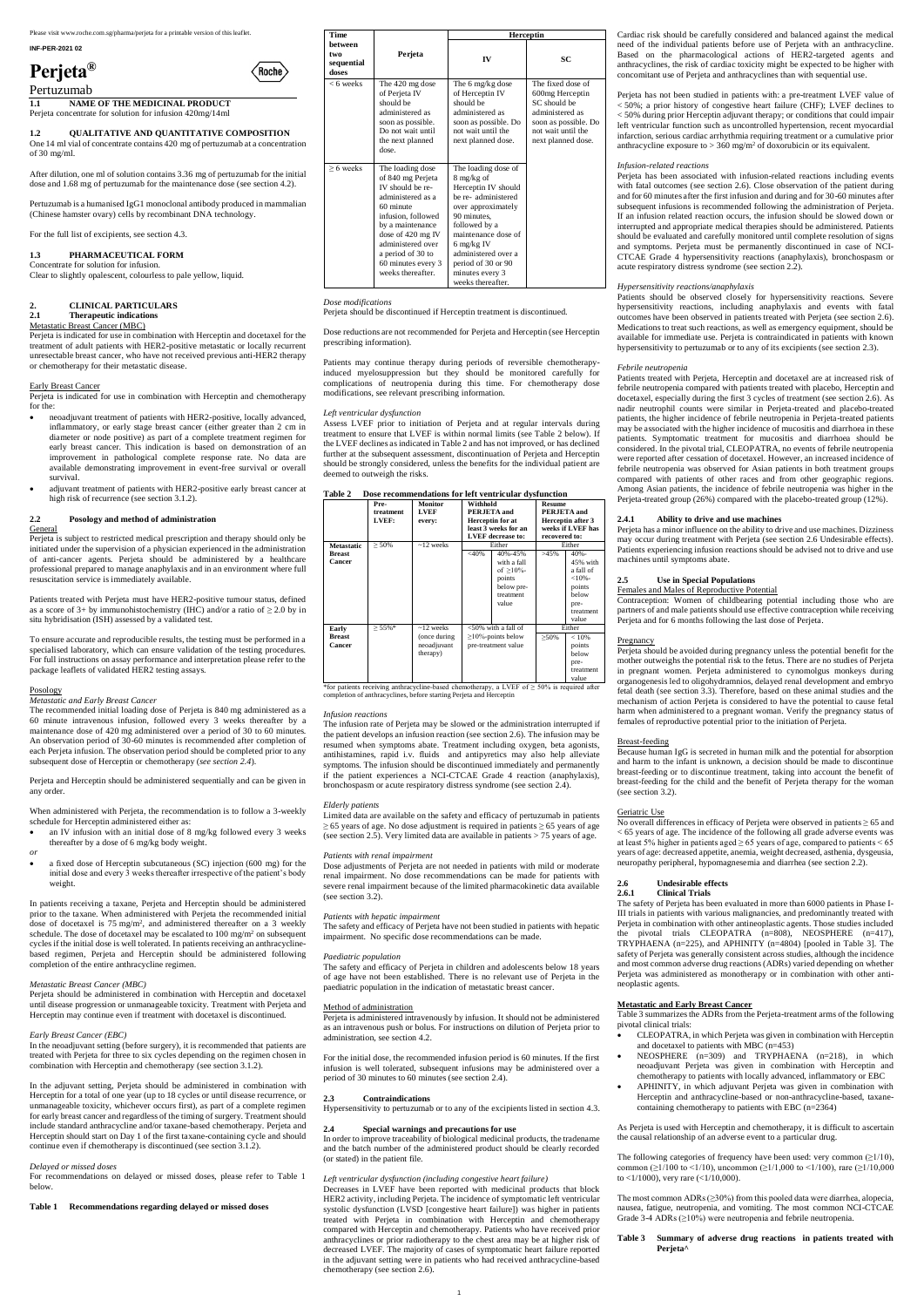Please visit www.roche.com.sg/pharma/perjeta for a printable version of this leaflet.

**INF-PER-2021 02**

# **Perjeta®**



Pertuzumab

**1.1 NAME OF THE MEDICINAL PRODUCT** Perjeta concentrate for solution for infusion 420mg/14ml

### **1.2 QUALITATIVE AND QUANTITATIVE COMPOSITION**

One 14 ml vial of concentrate contains 420 mg of pertuzumab at a concentration of 30 mg/ml.

After dilution, one ml of solution contains 3.36 mg of pertuzumab for the initial dose and 1.68 mg of pertuzumab for the maintenance dose (see section 4.2).

Pertuzumab is a humanised IgG1 monoclonal antibody produced in mammalian (Chinese hamster ovary) cells by recombinant DNA technology.

For the full list of excipients, see section 4.3.

### **1.3 PHARMACEUTICAL FORM**

Concentrate for solution for infusion. Clear to slightly opalescent, colourless to pale yellow, liquid.

## **2. CLINICAL PARTICULARS**

### **2.1 Therapeutic indications**

### Metastatic Breast Cancer (MBC)

Perjeta is indicated for use in combination with Herceptin and docetaxel for the treatment of adult patients with HER2-positive metastatic or locally recurrent unresectable breast cancer, who have not received previous anti-HER2 therapy or chemotherapy for their metastatic disease.

### Early Breast Cancer

Perjeta is indicated for use in combination with Herceptin and chemotherapy for the:

- neoadjuvant treatment of patients with HER2-positive, locally advanced, inflammatory, or early stage breast cancer (either greater than 2 cm in diameter or node positive) as part of a complete treatment regimen for early breast cancer. This indication is based on demonstration of an improvement in pathological complete response rate. No data are available demonstrating improvement in event-free survival or overall survival.
- adjuvant treatment of patients with HER2-positive early breast cancer at high risk of recurrence (see section 3.1.2).

### **2.2 Posology and method of administration**

**General** 

Perjeta is subject to restricted medical prescription and therapy should only be initiated under the supervision of a physician experienced in the administration of anti-cancer agents. Perjeta should be administered by a healthcare professional prepared to manage anaphylaxis and in an environment where full resuscitation service is immediately available.

Patients treated with Perjeta must have HER2-positive tumour status, defined as a score of 3+ by immunohistochemistry (IHC) and/or a ratio of  $\geq$  2.0 by in situ hybridisation (ISH) assessed by a validated test.

To ensure accurate and reproducible results, the testing must be performed in a specialised laboratory, which can ensure validation of the testing procedures. For full instructions on assay performance and interpretation please refer to the package leaflets of validated HER2 testing assays.

### Posology

### *Metastatic and Early Breast Cancer*

The recommended initial loading dose of Perjeta is 840 mg administered as a 60 minute intravenous infusion, followed every 3 weeks thereafter by a maintenance dose of 420 mg administered over a period of 30 to 60 minutes. An observation period of 30-60 minutes is recommended after completion of each Perjeta infusion. The observation period should be completed prior to any subsequent dose of Herceptin or chemotherapy (*see section 2.4*).

Perjeta and Herceptin should be administered sequentially and can be given in any order.

When administered with Perjeta, the recommendation is to follow a 3-weekly schedule for Herceptin administered either as:

- an IV infusion with an initial dose of 8 mg/kg followed every 3 weeks thereafter by a dose of 6 mg/kg body weight.
- *or*
- a fixed dose of Herceptin subcutaneous (SC) injection (600 mg) for the initial dose and every 3 weeks thereafter irrespective of the patient's body weight.

In patients receiving a taxane, Perjeta and Herceptin should be administered prior to the taxane. When administered with Perjeta the recommended initial dose of docetaxel is 75 mg/m<sup>2</sup> , and administered thereafter on a 3 weekly schedule. The dose of docetaxel may be escalated to 100 mg/m<sup>2</sup> on subsequent cycles if the initial dose is well tolerated. In patients receiving an anthracyclinebased regimen, Perjeta and Herceptin should be administered following completion of the entire anthracycline regimen.

\*for patients receiving anthracycline-based chemotherapy, a LVEF of  $\geq$  50% is required after completion of anthracyclines, before starting Perjeta and Herceptin

#### *Metastatic Breast Cancer (MBC)*

Limited data are available on the safety and efficacy of pertuzumab in patients  $\geq$  65 years of age. No dose adjustment is required in patients  $\geq$  65 years of age (see section 2.5). Very limited data are available in patients  $> 75$  years of age.

Perjeta should be administered in combination with Herceptin and docetaxel until disease progression or unmanageable toxicity. Treatment with Perjeta and Herceptin may continue even if treatment with docetaxel is discontinued.

### *Early Breast Cancer (EBC)*

In the neoadjuvant setting (before surgery), it is recommended that patients are treated with Perjeta for three to six cycles depending on the regimen chosen in combination with Herceptin and chemotherapy (see section 3.1.2).

The safety and efficacy of Perjeta in children and adolescents below 18 years of age have not been established. There is no relevant use of Perjeta in the paediatric population in the indication of metastatic breast can

In the adjuvant setting, Perjeta should be administered in combination with Herceptin for a total of one year (up to 18 cycles or until disease recurrence, or unmanageable toxicity, whichever occurs first), as part of a complete regimen for early breast cancer and regardless of the timing of surgery. Treatment should include standard anthracycline and/or taxane-based chemotherapy. Perjeta and Herceptin should start on Day 1 of the first taxane-containing cycle and should continue even if chemotherapy is discontinued (see section 3.1.2).

#### *Delayed or missed doses*

For recommendations on delayed or missed doses, please refer to Table 1 below.

### **Table 1 Recommendations regarding delayed or missed doses**

Perjeta has not been studied in patients with: a pre-treatment LVEF value of < 50%; a prior history of congestive heart failure (CHF); LVEF declines to < 50% during prior Herceptin adjuvant therapy; or conditions that could impair left ventricular function such as uncontrolled hypertension, recent myocardial infarction, serious cardiac arrhythmia requiring treatment or a cumulative prior anthracycline exposure to  $> 360$  mg/m<sup>2</sup> of doxorubicin or its equivalent.

| <b>Time</b>                           |                                                                                                                                                                                                                                                   |                                                                                                                                                                                                                                                                   | <b>Herceptin</b>                                                                                                                            |
|---------------------------------------|---------------------------------------------------------------------------------------------------------------------------------------------------------------------------------------------------------------------------------------------------|-------------------------------------------------------------------------------------------------------------------------------------------------------------------------------------------------------------------------------------------------------------------|---------------------------------------------------------------------------------------------------------------------------------------------|
| between<br>two<br>sequential<br>doses | Perjeta                                                                                                                                                                                                                                           | IV                                                                                                                                                                                                                                                                | SC                                                                                                                                          |
| $<$ 6 weeks                           | The 420 mg dose<br>of Perjeta IV<br>should be<br>administered as<br>soon as possible.<br>Do not wait until<br>the next planned<br>dose.                                                                                                           | The 6 mg/kg dose<br>of Herceptin IV<br>should be<br>administered as<br>soon as possible. Do<br>not wait until the<br>next planned dose.                                                                                                                           | The fixed dose of<br>600mg Herceptin<br>SC should be<br>administered as<br>soon as possible. Do<br>not wait until the<br>next planned dose. |
| $> 6$ weeks                           | The loading dose<br>of 840 mg Perjeta<br>IV should be re-<br>administered as a<br>60 minute<br>infusion, followed<br>by a maintenance<br>dose of $420$ mg IV<br>administered over<br>a period of 30 to<br>60 minutes every 3<br>weeks thereafter. | The loading dose of<br>8 mg/kg of<br>Herceptin IV should<br>be re- administered<br>over approximately<br>90 minutes,<br>followed by a<br>maintenance dose of<br>$6$ mg/kg IV<br>administered over a<br>period of 30 or 90<br>minutes every 3<br>weeks thereafter. |                                                                                                                                             |

### *Dose modifications*

Perjeta should be discontinued if Herceptin treatment is discontinued.

Dose reductions are not recommended for Perjeta and Herceptin (see Herceptin prescribing information).

Patients may continue therapy during periods of reversible chemotherapyinduced myelosuppression but they should be monitored carefully for complications of neutropenia during this time. For chemotherapy dose modifications, see relevant prescribing information.

### *Left ventricular dysfunction*

Assess LVEF prior to initiation of Perjeta and at regular intervals during treatment to ensure that LVEF is within normal limits (see Table 2 below). If the LVEF declines as indicated in Table 2 and has not improved, or has declined further at the subsequent assessment, discontinuation of Perjeta and Herceptin should be strongly considered, unless the benefits for the individual patient are deemed to outweigh the risks.

| <b>Table 2</b><br>Dose recommendations for left ventricular dysfunction |  |
|-------------------------------------------------------------------------|--|
|-------------------------------------------------------------------------|--|

|                         | Pre-<br>treatment | <b>Monitor</b><br><b>LVEF</b>           | Withhold               | PERJETA and                                                                          | <b>Resume</b><br>PERJETA and |                                                                                               |
|-------------------------|-------------------|-----------------------------------------|------------------------|--------------------------------------------------------------------------------------|------------------------------|-----------------------------------------------------------------------------------------------|
|                         | LVEF:             | every:                                  |                        | <b>Herceptin for at</b>                                                              |                              | Herceptin after 3                                                                             |
|                         |                   |                                         |                        | least 3 weeks for an<br><b>LVEF</b> decrease to:                                     | recovered to:                | weeks if LVEF has                                                                             |
| <b>Metastatic</b>       | $\geq 50\%$       | $\sim$ 12 weeks                         |                        | Either                                                                               |                              | Either                                                                                        |
| <b>Breast</b><br>Cancer |                   |                                         | $<$ 40%                | 40%-45%<br>with a fall<br>of $>10\%$ -<br>points<br>below pre-<br>treatment<br>value | >45%                         | $40% -$<br>45% with<br>a fall of<br>$<10% -$<br>points<br>helow<br>pre-<br>treatment<br>value |
| Early                   | $\geq 55\%$ *     | $\sim$ 12 weeks                         | $<$ 50% with a fall of |                                                                                      |                              | Either                                                                                        |
| <b>Breast</b><br>Cancer |                   | (once during<br>neoadjuvant<br>therapy) |                        | $\geq$ 10%-points below<br>pre-treatment value                                       | $>50\%$                      | < 10%<br>points<br>helow<br>pre-                                                              |
|                         |                   |                                         |                        |                                                                                      |                              | treatment<br>value                                                                            |

### *Infusion reactions*

The infusion rate of Perjeta may be slowed or the administration interrupted if the patient develops an infusion reaction (see section 2.6). The infusion may be resumed when symptoms abate. Treatment including oxygen, beta agonists, antihistamines, rapid i.v. fluids and antipyretics may also help alleviate symptoms. The infusion should be discontinued immediately and permanently if the patient experiences a NCI-CTCAE Grade 4 reaction (anaphylaxis), bronchospasm or acute respiratory distress syndrome (see section 2.4).

### $E$ *lderly patients*

The following categories of frequency have been used: very common  $(\geq 1/10)$ , common ( $\geq$ 1/100 to <1/10), uncommon ( $\geq$ 1/1,000 to <1/100), rare ( $\geq$ 1/10,000 to <1/1000), very rare (<1/10,000).

### *Patients with renal impairment*

The most common  $\text{ADRs} (\geq 30\%)$  from this pooled data were diarrhea, alopecia, nausea, fatigue, neutropenia, and vomiting. The most common NCI-CTCAE Grade 3-4 ADRs (≥10%) were neutropenia and febrile neutropenia.

Dose adjustments of Perjeta are not needed in patients with mild or moderate renal impairment. No dose recommendations can be made for patients with severe renal impairment because of the limited pharmacokinetic data available (see section 3.2).

### *Patients with hepatic impairment*

The safety and efficacy of Perjeta have not been studied in patients with hepatic impairment. No specific dose recommendations can be made.

### *Paediatric population*

#### Method of administration

Perjeta is administered intravenously by infusion. It should not be administered as an intravenous push or bolus. For instructions on dilution of Perjeta prior to administration, see section 4.2.

For the initial dose, the recommended infusion period is 60 minutes. If the first infusion is well tolerated, subsequent infusions may be administered over a period of 30 minutes to 60 minutes (see section 2.4).

### **2.3 Contraindications**

Hypersensitivity to pertuzumab or to any of the excipients listed in section 4.3.

### **2.4 Special warnings and precautions for use**

In order to improve traceability of biological medicinal products, the tradename and the batch number of the administered product should be clearly recorded (or stated) in the patient file.

### *Left ventricular dysfunction (including congestive heart failure)*

Decreases in LVEF have been reported with medicinal products that block HER2 activity, including Perjeta. The incidence of symptomatic left ventricular systolic dysfunction (LVSD [congestive heart failure]) was higher in patients treated with Perjeta in combination with Herceptin and chemotherapy compared with Herceptin and chemotherapy. Patients who have received prior anthracyclines or prior radiotherapy to the chest area may be at higher risk of decreased LVEF. The majority of cases of symptomatic heart failure reported in the adjuvant setting were in patients who had received anthracycline-based chemotherapy (see section 2.6).

Cardiac risk should be carefully considered and balanced against the medical need of the individual patients before use of Perjeta with an anthracycline. Based on the pharmacological actions of HER2-targeted agents and anthracyclines, the risk of cardiac toxicity might be expected to be higher with concomitant use of Perjeta and anthracyclines than with sequential use.

### *Infusion-related reactions*

Perjeta has been associated with infusion-related reactions including events with fatal outcomes (see section 2.6). Close observation of the patient during and for 60 minutes after the first infusion and during and for 30-60 minutes after subsequent infusions is recommended following the administration of Perjeta. If an infusion related reaction occurs, the infusion should be slowed down or interrupted and appropriate medical therapies should be administered. Patients should be evaluated and carefully monitored until complete resolution of signs and symptoms. Perjeta must be permanently discontinued in case of NCI-CTCAE Grade 4 hypersensitivity reactions (anaphylaxis), bronchospasm or acute respiratory distress syndrome (see section 2.2).

### *Hypersensitivity reactions/anaphylaxis*

Patients should be observed closely for hypersensitivity reactions. Severe hypersensitivity reactions, including anaphylaxis and events with fatal outcomes have been observed in patients treated with Perjeta (see section 2.6). Medications to treat such reactions, as well as emergency equipment, should be available for immediate use. Perjeta is contraindicated in patients with known hypersensitivity to pertuzumab or to any of its excipients (see section 2.3).

### *Febrile neutropenia*

Patients treated with Perjeta, Herceptin and docetaxel are at increased risk of febrile neutropenia compared with patients treated with placebo, Herceptin and docetaxel, especially during the first 3 cycles of treatment (see section 2.6). As nadir neutrophil counts were similar in Perjeta-treated and placebo-treated patients, the higher incidence of febrile neutropenia in Perjeta-treated patients may be associated with the higher incidence of mucositis and diarrhoea in these patients. Symptomatic treatment for mucositis and diarrhoea should be considered. In the pivotal trial, CLEOPATRA, no events of febrile neutropenia were reported after cessation of docetaxel. However, an increased incidence of febrile neutropenia was observed for Asian patients in both treatment groups compared with patients of other races and from other geographic regions. Among Asian patients, the incidence of febrile neutropenia was higher in the Perjeta-treated group (26%) compared with the placebo-treated group (12%).

### **2.4.1 Ability to drive and use machines**

Perjeta has a minor influence on the ability to drive and use machines. Dizziness may occur during treatment with Perjeta (see section 2.6 Undesirable effects). Patients experiencing infusion reactions should be advised not to drive and use machines until symptoms abate.

### **2.5 Use in Special Populations**

Females and Males of Reproductive Potential

Contraception: Women of childbearing potential including those who are partners of and male patients should use effective contraception while receiving Perjeta and for 6 months following the last dose of Perjeta.

### **Pregnancy**

Perjeta should be avoided during pregnancy unless the potential benefit for the mother outweighs the potential risk to the fetus. There are no studies of Perjeta in pregnant women. Perjeta administered to cynomolgus monkeys during organogenesis led to oligohydramnios, delayed renal development and embryo fetal death (see section 3.3). Therefore, based on these animal studies and the mechanism of action Perjeta is considered to have the potential to cause fetal harm when administered to a pregnant woman. Verify the pregnancy status of females of reproductive potential prior to the initiation of Perjeta.

### Breast-feeding

Because human IgG is secreted in human milk and the potential for absorption and harm to the infant is unknown, a decision should be made to discontinue breast-feeding or to discontinue treatment, taking into account the benefit of breast-feeding for the child and the benefit of Perjeta therapy for the woman (see section 3.2).

### Geriatric Use

No overall differences in efficacy of Perjeta were observed in patients ≥ 65 and  $<$  65 years of age. The incidence of the following all grade adverse events was at least 5% higher in patients aged  $\geq$  65 years of age, compared to patients < 65 years of age: decreased appetite, anemia, weight decreased, asthenia, dysgeusia, neuropathy peripheral, hypomagnesemia and diarrhea (see section 2.2).

### **2.6 Undesirable effects**

### **2.6.1 Clinical Trials**

The safety of Perjeta has been evaluated in more than 6000 patients in Phase I-III trials in patients with various malignancies, and predominantly treated with Perjeta in combination with other antineoplastic agents. Those studies included the pivotal trials CLEOPATRA (n=808), NEOSPHERE (n=417), TRYPHAENA (n=225), and APHINITY (n=4804) [pooled in Table 3]. The safety of Perjeta was generally consistent across studies, although the incidence and most common adverse drug reactions (ADRs) varied depending on whether Perjeta was administered as monotherapy or in combination with other antineoplastic agents.

|                | are patient experiences a rich exercise orage    |  |  |
|----------------|--------------------------------------------------|--|--|
|                | onchospasm or acute respiratory distress syndrom |  |  |
| derly natients |                                                  |  |  |

#### **Metastatic and Early Breast Cancer**

Table 3 summarizes the ADRs from the Perjeta-treatment arms of the following pivotal clinical trials:

- CLEOPATRA, in which Perjeta was given in combination with Herceptin and docetaxel to patients with MBC (n=453)
- NEOSPHERE (n=309) and TRYPHAENA (n=218), in which neoadjuvant Perjeta was given in combination with Herceptin and chemotherapy to patients with locally advanced, inflammatory or EBC
- APHINITY, in which adjuvant Perjeta was given in combination with Herceptin and anthracycline-based or non-anthracycline-based, taxanecontaining chemotherapy to patients with EBC (n=2364)

As Perjeta is used with Herceptin and chemotherapy, it is difficult to ascertain the causal relationship of an adverse event to a particular drug.

### **Table 3 Summary of adverse drug reactions in patients treated with Perjeta^**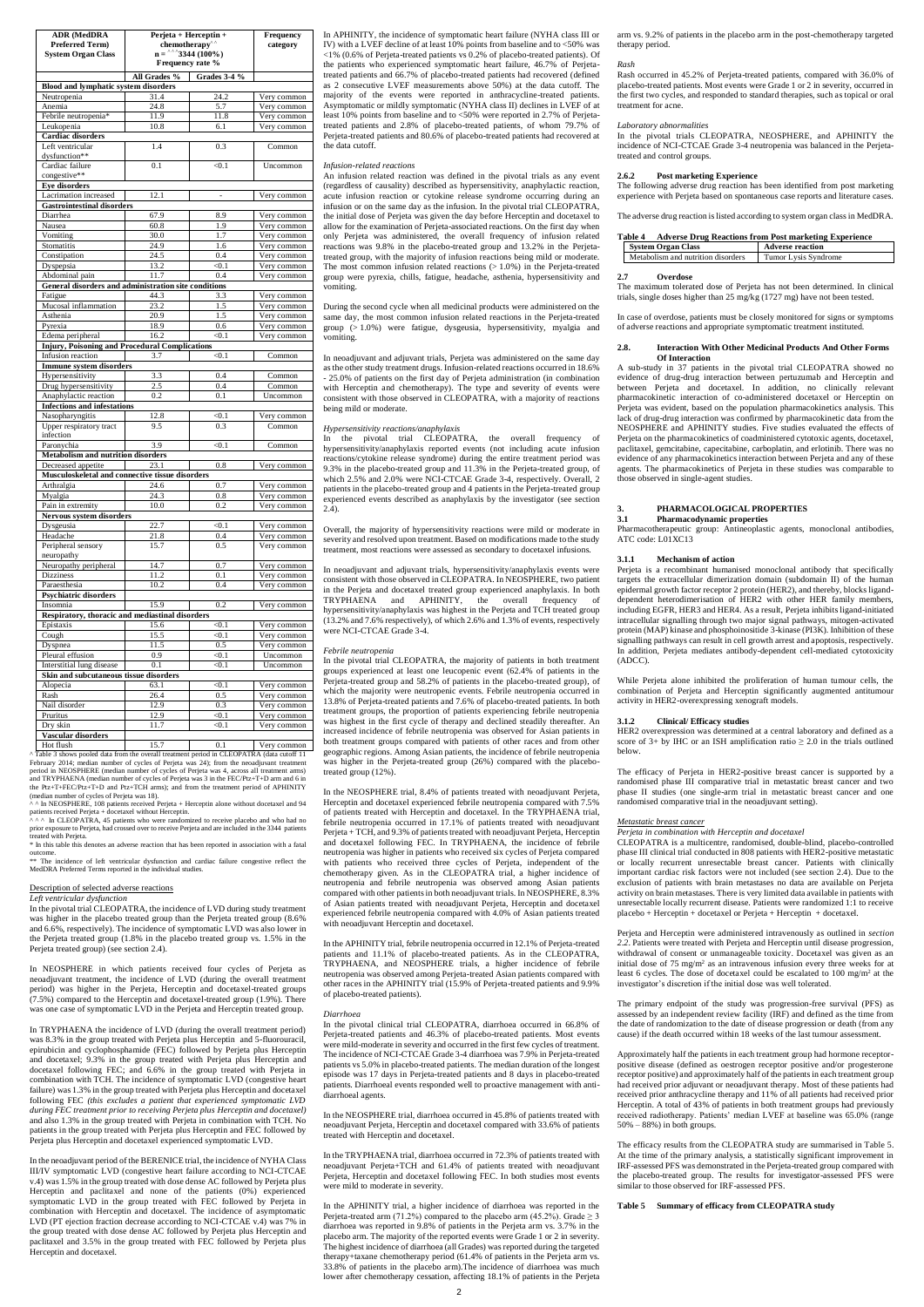| <b>ADR (MedDRA</b>                                            | $Perjeta + Herceptin +$    | Frequency                       |                                  |
|---------------------------------------------------------------|----------------------------|---------------------------------|----------------------------------|
| <b>Preferred Term)</b><br><b>System Organ Class</b>           | chemotherapy <sup>^^</sup> | $n =$ <sup>^^</sup> 3344 (100%) | category                         |
|                                                               |                            | Frequency rate %                |                                  |
|                                                               | All Grades <sup>%</sup>    | <b>Grades 3-4 %</b>             |                                  |
| <b>Blood and lymphatic system disorders</b>                   |                            |                                 |                                  |
| Neutropenia                                                   | 31.4                       | 24.2                            | Very common                      |
| Anemia                                                        | 24.8                       | 5.7                             | Very common                      |
| Febrile neutropenia*<br>Leukopenia                            | 11.9<br>10.8               | 11.8<br>6.1                     | Very common<br>Very common       |
| <b>Cardiac</b> disorders                                      |                            |                                 |                                  |
| Left ventricular                                              | 1.4                        | 0.3                             | Common                           |
| dysfunction**                                                 |                            |                                 |                                  |
| Cardiac failure<br>congestive**                               | 0.1                        | < 0.1                           | Uncommon                         |
| <b>Eye disorders</b>                                          |                            |                                 |                                  |
| Lacrimation increased                                         | 12.1                       |                                 | Very common                      |
| <b>Gastrointestinal disorders</b>                             |                            |                                 |                                  |
| Diarrhea                                                      | 67.9                       | 8.9                             | Very common                      |
| Nausea                                                        | 60.8                       | 1.9<br>1.7                      | Very common                      |
| Vomiting<br>Stomatitis                                        | 30.0<br>24.9               | 1.6                             | Very common<br>Very common       |
| Constipation                                                  | 24.5                       | 0.4                             | Very common                      |
| Dyspepsia                                                     | 13.2                       | < 0.1                           | Very common                      |
| Abdominal pain                                                | 11.7                       | 0.4                             | Very common                      |
| General disorders and administration site conditions          |                            |                                 |                                  |
| Fatigue<br>Mucosal inflammation                               | 44.3<br>23.2               | 3.3<br>1.5                      | Very common<br>Very common       |
| Asthenia                                                      | 20.9                       | 1.5                             | Very common                      |
| Pyrexia                                                       | 18.9                       | 0.6                             | Very common                      |
| Edema peripheral                                              | 16.2                       | < 0.1                           | Very common                      |
| <b>Injury, Poisoning and Procedural Complications</b>         |                            |                                 |                                  |
| Infusion reaction                                             | 3.7                        | < 0.1                           | Common                           |
| <b>Immune system disorders</b><br>Hypersensitivity            | 3.3                        | 0.4                             | Common                           |
| Drug hypersensitivity                                         | 2.5                        | 0.4                             | Common                           |
| Anaphylactic reaction                                         | 0.2                        | 0.1                             | Uncommon                         |
| <b>Infections and infestations</b>                            |                            |                                 |                                  |
| Nasopharyngitis                                               | 12.8                       | < 0.1                           | Very common                      |
| Upper respiratory tract<br>infection                          | 9.5                        | 0.3                             | Common                           |
| Paronychia                                                    | 3.9                        | < 0.1                           | Common                           |
| <b>Metabolism and nutrition disorders</b>                     |                            |                                 |                                  |
| Decreased appetite                                            | 23.1                       | 0.8                             | Very common                      |
| Musculoskeletal and connective tissue disorders<br>Arthralgia | 24.6                       |                                 |                                  |
| Myalgia                                                       | 24.3                       | 0.7<br>0.8                      | Very common<br>Very common       |
| Pain in extremity                                             | 10.0                       | 0.2                             | $\overline{\text{V}}$ ery common |
| Nervous system disorders                                      |                            |                                 |                                  |
| Dysgeusia                                                     | 22.7                       | < 0.1                           | Very common                      |
| Headache                                                      | 21.8                       | 0.4                             | Very common                      |
| Peripheral sensory<br>neuropathy                              | 15.7                       | 0.5                             | Very common                      |
| Neuropathy peripheral                                         | 14.7                       | 0.7                             | Very common                      |
| <b>Dizziness</b>                                              | 11.2                       | 0.1                             | Very common                      |
| Paraesthesia                                                  | 10.2                       | 0.4                             | Very common                      |
| <b>Psychiatric disorders</b>                                  |                            |                                 |                                  |
| Insomnia<br>Respiratory, thoracic and mediastinal disorders   | 15.9                       | 0.2                             | Very common                      |
| Epistaxis                                                     | 15.6                       | < 0.1                           | Very common                      |
| Cough                                                         | 15.5                       | < 0.1                           | Very common                      |
| Dyspnea                                                       | 11.5                       | 0.5                             | Very common                      |
| Pleural effusion                                              | 0.9                        | < 0.1                           | Uncommon                         |
| Interstitial lung disease                                     | 0.1                        | < 0.1                           | Uncommon                         |
| Skin and subcutaneous tissue disorders<br>Alopecia            |                            |                                 |                                  |
| Rash                                                          | 63.1<br>26.4               | < 0.1<br>0.5                    | Very common<br>Very common       |
| Nail disorder                                                 | 12.9                       | 0.3                             | Very common                      |
| Pruritus                                                      | 12.9                       | < 0.1                           | Very common                      |
| Dry skin                                                      | 11.7                       | < 0.1                           | Very common                      |
| Vascular disorders                                            |                            |                                 |                                  |
| Hot flush                                                     | 15.7                       | 0.1                             | Very common                      |

(median number of cycles of Perjeta was 18). ^ ^ In NEOSPHERE, 108 patients received Perjeta + Herceptin alone without docetaxel and 94 patients received Perjeta + docetaxel without Herceptin.<br>^ ^ ^ In CLEOPATRA, 45 patients who were randomized to receive placebo and who had no

^ Table 3 shows pooled data from the overall treatment period in CLEOPATRA (data cutoff 11 February 2014; median number of cycles of Perjeta was 24); from the neoadjuvant treatment period in NEOSPHERE (median number of cycles of Perjeta was 4, across all treatment arms) and TRYPHAENA (median number of cycles of Perjeta was 3 in the FEC/Ptz+T+D arm and 6 in the Ptz+T+FEC/Ptz+T+D and Ptz+TCH arms); and from the treatment period of APHINITY

prior exposure to Perjeta, had crossed over to receive Perjeta and are included in the 3344 patients treated with Perjeta.

\* In this table this denotes an adverse reaction that has been reported in association with a fatal

outcome. \*\* The incidence of left ventricular dysfunction and cardiac failure congestive reflect the MedDRA Preferred Terms reported in the individual studies.

Description of selected adverse reactions

*Left ventricular dysfunction*

In the pivotal trial CLEOPATRA, the incidence of LVD during study treatment was higher in the placebo treated group than the Perjeta treated group (8.6% and 6.6%, respectively). The incidence of symptomatic LVD was also lower in the Perjeta treated group (1.8% in the placebo treated group vs. 1.5% in the Perjeta treated group) (see section 2.4).

In NEOSPHERE in which patients received four cycles of Perjeta as neoadjuvant treatment, the incidence of LVD (during the overall treatment

period) was higher in the Perjeta, Herceptin and docetaxel-treated groups (7.5%) compared to the Herceptin and docetaxel-treated group (1.9%). There was one case of symptomatic LVD in the Perjeta and Herceptin treated group.

In TRYPHAENA the incidence of LVD (during the overall treatment period) was 8.3% in the group treated with Perjeta plus Herceptin and 5-fluorouracil, epirubicin and cyclophosphamide (FEC) followed by Perjeta plus Herceptin and docetaxel; 9.3% in the group treated with Perjeta plus Herceptin and docetaxel following FEC; and 6.6% in the group treated with Perjeta in combination with TCH. The incidence of symptomatic LVD (congestive heart failure) was 1.3% in the group treated with Perjeta plus Herceptin and docetaxel following FEC *(this excludes a patient that experienced symptomatic LVD during FEC treatment prior to receiving Perjeta plus Herceptin and docetaxel)* and also 1.3% in the group treated with Perjeta in combination with TCH. No patients in the group treated with Perjeta plus Herceptin and FEC followed by Perjeta plus Herceptin and docetaxel experienced symptomatic LVD.

In the pivotal trial CLEOPATRA, the majority of patients in both treatment groups experienced at least one leucopenic event (62.4% of patients in the Perjeta-treated group and 58.2% of patients in the placebo-treated group), of which the majority were neutropenic events. Febrile neutropenia occurred in 13.8% of Perjeta-treated patients and 7.6% of placebo-treated patients. In both treatment groups, the proportion of patients experiencing febrile neutropenia was highest in the first cycle of therapy and declined steadily thereafter. An increased incidence of febrile neutropenia was observed for Asian patients in both treatment groups compared with patients of other races and from other geographic regions. Among Asian patients, the incidence of febrile neutropenia was higher in the Perjeta-treated group (26%) compared with the placebotreated group (12%).

In the neoadjuvant period of the BERENICE trial, the incidence of NYHA Class III/IV symptomatic LVD (congestive heart failure according to NCI-CTCAE v.4) was 1.5% in the group treated with dose dense AC followed by Perjeta plus Herceptin and paclitaxel and none of the patients (0%) experienced symptomatic LVD in the group treated with FEC followed by Perjeta in combination with Herceptin and docetaxel. The incidence of asymptomatic LVD (PT ejection fraction decrease according to NCI-CTCAE v.4) was 7% in the group treated with dose dense AC followed by Perjeta plus Herceptin and paclitaxel and 3.5% in the group treated with FEC followed by Perjeta plus Herceptin and docetaxel.

In APHINITY, the incidence of symptomatic heart failure (NYHA class III or IV) with a LVEF decline of at least 10% points from baseline and to <50% was <1% (0.6% of Perjeta-treated patients vs 0.2% of placebo-treated patients). Of the patients who experienced symptomatic heart failure, 46.7% of Perjetatreated patients and 66.7% of placebo-treated patients had recovered (defined as 2 consecutive LVEF measurements above 50%) at the data cutoff. The majority of the events were reported in anthracycline-treated patients. Asymptomatic or mildly symptomatic (NYHA class II) declines in LVEF of at least 10% points from baseline and to <50% were reported in 2.7% of Perjetatreated patients and 2.8% of placebo-treated patients, of whom 79.7% of Perjeta-treated patients and 80.6% of placebo-treated patients had recovered at the data cutoff.

### *Infusion-related reactions*

An infusion related reaction was defined in the pivotal trials as any event (regardless of causality) described as hypersensitivity, anaphylactic reaction, acute infusion reaction or cytokine release syndrome occurring during an infusion or on the same day as the infusion. In the pivotal trial CLEOPATRA, the initial dose of Perjeta was given the day before Herceptin and docetaxel to allow for the examination of Perjeta-associated reactions. On the first day when only Perjeta was administered, the overall frequency of infusion related reactions was 9.8% in the placebo-treated group and 13.2% in the Perjetatreated group, with the majority of infusion reactions being mild or moderate. The most common infusion related reactions  $(>1.0\%)$  in the Perjeta-treated group were pyrexia, chills, fatigue, headache, asthenia, hypersensitivity and vomiting.

During the second cycle when all medicinal products were administered on the same day, the most common infusion related reactions in the Perjeta-treated group (> 1.0%) were fatigue, dysgeusia, hypersensitivity, myalgia and vomiting.

In neoadjuvant and adjuvant trials, Perjeta was administered on the same day as the other study treatment drugs. Infusion-related reactions occurred in 18.6% - 25.0% of patients on the first day of Perjeta administration (in combination with Herceptin and chemotherapy). The type and severity of events were consistent with those observed in CLEOPATRA, with a majority of reactions being mild or moderate.

### *Hypersensitivity reactions/anaphylaxis*

In the pivotal trial CLEOPATRA, the overall frequency of hypersensitivity/anaphylaxis reported events (not including acute infusion reactions/cytokine release syndrome) during the entire treatment period was 9.3% in the placebo-treated group and 11.3% in the Perjeta-treated group, of which 2.5% and 2.0% were NCI-CTCAE Grade 3-4, respectively. Overall, 2 patients in the placebo-treated group and 4 patients in the Perjeta-treated group experienced events described as anaphylaxis by the investigator (see section 2.4).

Overall, the majority of hypersensitivity reactions were mild or moderate in severity and resolved upon treatment. Based on modifications made to the study treatment, most reactions were assessed as secondary to docetaxel infusions.

In neoadjuvant and adjuvant trials, hypersensitivity/anaphylaxis events were consistent with those observed in CLEOPATRA. In NEOSPHERE, two patient in the Perjeta and docetaxel treated group experienced anaphylaxis. In both TRYPHAENA and APHINITY, the overall frequency of hypersensitivity/anaphylaxis was highest in the Perjeta and TCH treated group (13.2% and 7.6% respectively), of which 2.6% and 1.3% of events, respectively were NCI-CTCAE Grade 3-4.

> Approximately half the patients in each treatment group had hormone receptorpositive disease (defined as oestrogen receptor positive and/or progesterone receptor positive) and approximately half of the patients in each treatment group had received prior adjuvant or neoadjuvant therapy. Most of these patients had received prior anthracycline therapy and 11% of all patients had received prior Herceptin. A total of 43% of patients in both treatment groups had previously received radiotherapy. Patients' median LVEF at baseline was 65.0% (range  $50\% - 88\%$ ) in both groups.

### *Febrile neutropenia*

In the NEOSPHERE trial, 8.4% of patients treated with neoadjuvant Perjeta, Herceptin and docetaxel experienced febrile neutropenia compared with 7.5% of patients treated with Herceptin and docetaxel. In the TRYPHAENA trial, febrile neutropenia occurred in 17.1% of patients treated with neoadjuvant Perjeta + TCH, and 9.3% of patients treated with neoadjuvant Perjeta, Herceptin and docetaxel following FEC. In TRYPHAENA, the incidence of febrile neutropenia was higher in patients who received six cycles of Perjeta compared with patients who received three cycles of Perjeta, independent of the chemotherapy given. As in the CLEOPATRA trial, a higher incidence of neutropenia and febrile neutropenia was observed among Asian patients compared with other patients in both neoadjuvant trials. In NEOSPHERE, 8.3% of Asian patients treated with neoadjuvant Perjeta, Herceptin and docetaxel experienced febrile neutropenia compared with 4.0% of Asian patients treated with neoadjuvant Herceptin and docetaxel.

In the APHINITY trial, febrile neutropenia occurred in 12.1% of Perjeta-treated patients and 11.1% of placebo-treated patients. As in the CLEOPATRA, TRYPHAENA, and NEOSPHERE trials, a higher incidence of febrile neutropenia was observed among Perjeta-treated Asian patients compared with other races in the APHINITY trial (15.9% of Perjeta-treated patients and 9.9% of placebo-treated patients).

#### *Diarrhoea*

In the pivotal clinical trial CLEOPATRA, diarrhoea occurred in 66.8% of Perjeta-treated patients and 46.3% of placebo-treated patients. Most events were mild-moderate in severity and occurred in the first few cycles of treatment. The incidence of NCI-CTCAE Grade 3-4 diarrhoea was 7.9% in Perjeta-treated patients vs 5.0% in placebo-treated patients. The median duration of the longest episode was 17 days in Perjeta-treated patients and 8 days in placebo-treated patients. Diarrhoeal events responded well to proactive management with antidiarrhoeal agents.

In the NEOSPHERE trial, diarrhoea occurred in 45.8% of patients treated with neoadjuvant Perjeta, Herceptin and docetaxel compared with 33.6% of patients treated with Herceptin and docetaxel.

In the TRYPHAENA trial, diarrhoea occurred in 72.3% of patients treated with neoadjuvant Perjeta+TCH and 61.4% of patients treated with neoadjuvant Perjeta, Herceptin and docetaxel following FEC. In both studies most events were mild to moderate in severity.

In the APHINITY trial, a higher incidence of diarrhoea was reported in the Perjeta-treated arm (71.2%) compared to the placebo arm (45.2%). Grade  $\geq$  3 diarrhoea was reported in 9.8% of patients in the Perjeta arm vs. 3.7% in the placebo arm. The majority of the reported events were Grade 1 or 2 in severity. The highest incidence of diarrhoea (all Grades) was reported during the targeted therapy+taxane chemotherapy period (61.4% of patients in the Perjeta arm vs. 33.8% of patients in the placebo arm).The incidence of diarrhoea was much lower after chemotherapy cessation, affecting 18.1% of patients in the Perjeta

arm vs. 9.2% of patients in the placebo arm in the post-chemotherapy targeted therapy period.

### *Rash*

Rash occurred in 45.2% of Perjeta-treated patients, compared with 36.0% of placebo-treated patients. Most events were Grade 1 or 2 in severity, occurred in the first two cycles, and responded to standard therapies, such as topical or oral treatment for acne.

### *Laboratory abnormalities*

In the pivotal trials CLEOPATRA, NEOSPHERE, and APHINITY the incidence of NCI-CTCAE Grade 3-4 neutropenia was balanced in the Perjetatreated and control groups.

### **2.6.2 Post marketing Experience**

The following adverse drug reaction has been identified from post marketing experience with Perjeta based on spontaneous case reports and literature cases.

The adverse drug reaction is listed according to system organ class in MedDRA.

### **Table 4 Adverse Drug Reactions from Post marketing Experience**

| System Organ Class                 | <b>Adverse reaction</b> |
|------------------------------------|-------------------------|
| Metabolism and nutrition disorders | Tumor Lysis Syndrome    |

### **2.7 Overdose**

The maximum tolerated dose of Perjeta has not been determined. In clinical trials, single doses higher than 25 mg/kg (1727 mg) have not been tested.

In case of overdose, patients must be closely monitored for signs or symptoms of adverse reactions and appropriate symptomatic treatment instituted.

### **2.8. Interaction With Other Medicinal Products And Other Forms Of Interaction**

A sub-study in 37 patients in the pivotal trial CLEOPATRA showed no evidence of drug-drug interaction between pertuzumab and Herceptin and between Perjeta and docetaxel. In addition, no clinically relevant pharmacokinetic interaction of co-administered docetaxel or Herceptin on Perjeta was evident, based on the population pharmacokinetics analysis. This lack of drug-drug interaction was confirmed by pharmacokinetic data from the NEOSPHERE and APHINITY studies. Five studies evaluated the effects of Perjeta on the pharmacokinetics of coadministered cytotoxic agents, docetaxel, paclitaxel, gemcitabine, capecitabine, carboplatin, and erlotinib. There was no evidence of any pharmacokinetics interaction between Perjeta and any of these agents. The pharmacokinetics of Perjeta in these studies was comparable to those observed in single-agent studies.

### **3. PHARMACOLOGICAL PROPERTIES**

### **3.1 Pharmacodynamic properties**

Pharmacotherapeutic group: Antineoplastic agents, monoclonal antibodies, ATC code: L01XC13

### **3.1.1 Mechanism of action**

Perjeta is a recombinant humanised monoclonal antibody that specifically targets the extracellular dimerization domain (subdomain II) of the human epidermal growth factor receptor 2 protein (HER2), and thereby, blocks liganddependent heterodimerisation of HER2 with other HER family members, including EGFR, HER3 and HER4. As a result, Perjeta inhibits ligand-initiated intracellular signalling through two major signal pathways, mitogen-activated protein (MAP) kinase and phosphoinositide 3-kinase (PI3K). Inhibition of these signalling pathways can result in cell growth arrest and apoptosis, respectively. In addition, Perjeta mediates antibody-dependent cell-mediated cytotoxicity (ADCC).

While Perjeta alone inhibited the proliferation of human tumour cells, the combination of Perjeta and Herceptin significantly augmented antitumour activity in HER2-overexpressing xenograft models.

### **3.1.2 Clinical/ Efficacy studies**

HER2 overexpression was determined at a central laboratory and defined as a score of 3+ by IHC or an ISH amplification ratio  $\geq 2.0$  in the trials outlined below.

The efficacy of Perjeta in HER2-positive breast cancer is supported by a randomised phase III comparative trial in metastatic breast cancer and two phase II studies (one single-arm trial in metastatic breast cancer and one randomised comparative trial in the neoadjuvant setting).

### *Metastatic breast cancer*

*Perjeta in combination with Herceptin and docetaxel*

CLEOPATRA is a multicentre, randomised, double-blind, placebo-controlled phase III clinical trial conducted in 808 patients with HER2-positive metastatic or locally recurrent unresectable breast cancer. Patients with clinically important cardiac risk factors were not included (see section 2.4). Due to the exclusion of patients with brain metastases no data are available on Perjeta activity on brain metastases. There is very limited data available in patients with unresectable locally recurrent disease. Patients were randomized 1:1 to receive placebo + Herceptin + docetaxel or Perjeta + Herceptin + docetaxel.

Perjeta and Herceptin were administered intravenously as outlined in *section 2.2*. Patients were treated with Perjeta and Herceptin until disease progression, withdrawal of consent or unmanageable toxicity. Docetaxel was given as an initial dose of 75 mg/m<sup>2</sup> as an intravenous infusion every three weeks for at least 6 cycles. The dose of docetaxel could be escalated to 100 mg/m<sup>2</sup> at the investigator's discretion if the initial dose was well tolerated.

The primary endpoint of the study was progression-free survival (PFS) as assessed by an independent review facility (IRF) and defined as the time from the date of randomization to the date of disease progression or death (from any cause) if the death occurred within 18 weeks of the last tumour assessment.

The efficacy results from the CLEOPATRA study are summarised in Table 5. At the time of the primary analysis, a statistically significant improvement in IRF-assessed PFS was demonstrated in the Perjeta-treated group compared with the placebo-treated group. The results for investigator-assessed PFS were similar to those observed for IRF-assessed PFS.

### **Table 5 Summary of efficacy from CLEOPATRA study**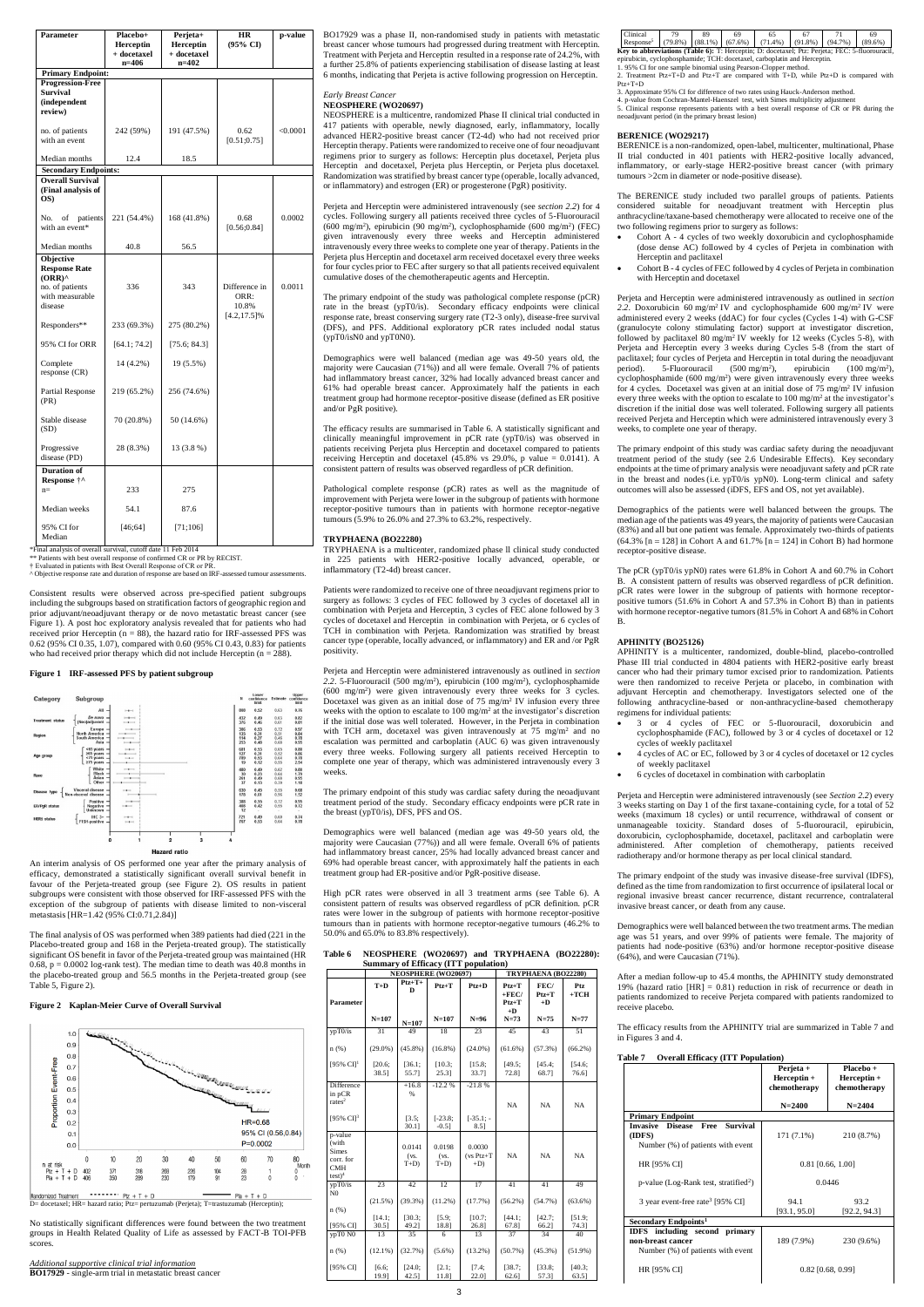| Parameter                                                                    | Placebo+<br><b>Herceptin</b><br>+ docetaxel<br>$n=406$ | Perjeta+<br><b>Herceptin</b><br>+ docetaxel<br>n=402 | <b>HR</b><br>(95% CI)            | p-value  |
|------------------------------------------------------------------------------|--------------------------------------------------------|------------------------------------------------------|----------------------------------|----------|
| <b>Primary Endpoint:</b>                                                     |                                                        |                                                      |                                  |          |
| <b>Progression-Free</b><br><b>Survival</b><br><i>(independent</i><br>review) |                                                        |                                                      |                                  |          |
| no. of patients<br>with an event                                             | 242 (59%)                                              | 191 (47.5%)                                          | 0.62<br>[0.51; 0.75]             | < 0.0001 |
| Median months                                                                | 12.4                                                   | 18.5                                                 |                                  |          |
| <b>Secondary Endpoints:</b>                                                  |                                                        |                                                      |                                  |          |
| <b>Overall Survival</b><br>(Final analysis of<br>OS)                         |                                                        |                                                      |                                  |          |
| No.<br>patients<br>of<br>with an event*                                      | 221 (54.4%)                                            | 168 (41.8%)                                          | 0.68<br>[0.56; 0.84]             | 0.0002   |
| Median months                                                                | 40.8                                                   | 56.5                                                 |                                  |          |
| Objective<br><b>Response Rate</b><br>$(ORR)^{\wedge}$<br>no. of patients     | 336                                                    | 343                                                  | Difference in                    | 0.0011   |
| with measurable<br>disease                                                   |                                                        |                                                      | ORR:<br>10.8%<br>$[4.2, 17.5]\%$ |          |
| Responders**                                                                 | 233 (69.3%)                                            | 275 (80.2%)                                          |                                  |          |
| 95% CI for ORR                                                               | [64.1; 74.2]                                           | [75.6; 84.3]                                         |                                  |          |
| Complete<br>response (CR)                                                    | 14 (4.2%)                                              | 19 (5.5%)                                            |                                  |          |
| Partial Response<br>(PR)                                                     | 219 (65.2%)                                            | 256 (74.6%)                                          |                                  |          |
| Stable disease<br>(SD)                                                       | 70 (20.8%)                                             | 50 (14.6%)                                           |                                  |          |
| Progressive<br>disease (PD)                                                  | 28 (8.3%)                                              | 13 (3.8 %)                                           |                                  |          |
| <b>Duration</b> of<br>Response †^<br>$n=$                                    | 233                                                    | 275                                                  |                                  |          |
| Median weeks                                                                 | 54.1                                                   | 87.6                                                 |                                  |          |
| 95% CI for<br>Median                                                         | [46;64]                                                | [71;106]                                             |                                  |          |

Consistent results were observed across pre-specified patient subgroups including the subgroups based on stratification factors of geographic region and prior adjuvant/neoadjuvant therapy or de novo metastatic breast cancer (see Figure 1). A post hoc exploratory analysis revealed that for patients who had received prior Herceptin ( $n = 88$ ), the hazard ratio for IRF-assessed PFS was 0.62 (95% CI 0.35, 1.07), compared with 0.60 (95% CI 0.43, 0.83) for patients who had received prior therapy which did not include Herceptin ( $n = 288$ ).

\*Final analysis of overall survival, cutoff date 11 Feb 2014

\*\* Patients with best overall response of confirmed CR or PR by RECIST. † Evaluated in patients with Best Overall Response of CR or PR.

^ Objective response rate and duration of response are based on IRF-assessed tumour assessments.

### **Figure 1 IRF-assessed PFS by patient subgroup**



An interim analysis of OS performed one year after the primary analysis of efficacy, demonstrated a statistically significant overall survival benefit in favour of the Perjeta-treated group (see Figure 2). OS results in patient subgroups were consistent with those observed for IRF-assessed PFS with the exception of the subgroup of patients with disease limited to non-visceral metastasis [HR=1.42 (95% CI:0.71,2.84)]

The final analysis of OS was performed when 389 patients had died (221 in the Placebo-treated group and 168 in the Perjeta-treated group). The statistically significant OS benefit in favor of the Perjeta-treated group was maintained (HR  $0.68$ ,  $p = 0.0002$  log-rank test). The median time to death was 40.8 months in the placebo-treated group and 56.5 months in the Perjeta-treated group (see Table 5, Figure 2).

### **Figure 2 Kaplan-Meier Curve of Overall Survival**



No statistically significant differences were found between the two treatment groups in Health Related Quality of Life as assessed by FACT-B TOI-PFB scores.

*Additional supportive clinical trial information* **BO17929** - single-arm trial in metastatic breast cancer BO17929 was a phase II, non-randomised study in patients with metastatic breast cancer whose tumours had progressed during treatment with Herceptin. Treatment with Perjeta and Herceptin resulted in a response rate of 24.2%, with a further 25.8% of patients experiencing stabilisation of disease lasting at least 6 months, indicating that Perjeta is active following progression on Herceptin.

### *Early Breast Cancer*

### **NEOSPHERE (WO20697)**

NEOSPHERE is a multicentre, randomized Phase II clinical trial conducted in 417 patients with operable, newly diagnosed, early, inflammatory, locally advanced HER2-positive breast cancer (T2-4d) who had not received prior Herceptin therapy. Patients were randomized to receive one of four neoadjuvant regimens prior to surgery as follows: Herceptin plus docetaxel, Perjeta plus Herceptin and docetaxel, Perjeta plus Herceptin, or Perjeta plus docetaxel. Randomization was stratified by breast cancer type (operable, locally advanced, or inflammatory) and estrogen (ER) or progesterone (PgR) positivity.

Perjeta and Herceptin were administered intravenously (see *section 2.2*) for 4 cycles. Following surgery all patients received three cycles of 5-Fluorouracil (600 mg/m<sup>2</sup> ), epirubicin (90 mg/m<sup>2</sup> ), cyclophosphamide (600 mg/m<sup>2</sup> ) (FEC) given intravenously every three weeks and Herceptin administered intravenously every three weeks to complete one year of therapy. Patients in the Perjeta plus Herceptin and docetaxel arm received docetaxel every three weeks for four cycles prior to FEC after surgery so that all patients received equivalent cumulative doses of the chemotherapeutic agents and Herceptin.

The primary endpoint of the study was pathological complete response (pCR) rate in the breast (ypT0/is). Secondary efficacy endpoints were clinical response rate, breast conserving surgery rate (T2-3 only), disease-free survival (DFS), and PFS. Additional exploratory pCR rates included nodal status (ypT0/isN0 and ypT0N0).

Demographics were well balanced (median age was 49-50 years old, the majority were Caucasian (71%)) and all were female. Overall 7% of patients had inflammatory breast cancer, 32% had locally advanced breast cancer and 61% had operable breast cancer. Approximately half the patients in each treatment group had hormone receptor-positive disease (defined as ER positive and/or PgR positive).

The efficacy results are summarised in Table 6. A statistically significant and clinically meaningful improvement in pCR rate (ypT0/is) was observed in patients receiving Perjeta plus Herceptin and docetaxel compared to patients receiving Herceptin and docetaxel  $(45.8\%$  vs 29.0%, p value = 0.0141). A consistent pattern of results was observed regardless of pCR definition.

Pathological complete response (pCR) rates as well as the magnitude of improvement with Perjeta were lower in the subgroup of patients with hormone receptor-positive tumours than in patients with hormone receptor-negative tumours (5.9% to 26.0% and 27.3% to 63.2%, respectively.

### **TRYPHAENA (BO22280)**

TRYPHAENA is a multicenter, randomized phase ll clinical study conducted in 225 patients with HER2-positive locally advanced, operable, or inflammatory (T2-4d) breast cancer.

Patients were randomized to receive one of three neoadjuvant regimens prior to surgery as follows: 3 cycles of FEC followed by 3 cycles of docetaxel all in combination with Perjeta and Herceptin, 3 cycles of FEC alone followed by 3 cycles of docetaxel and Herceptin in combination with Perjeta, or 6 cycles of TCH in combination with Perjeta. Randomization was stratified by breast cancer type (operable, locally advanced, or inflammatory) and ER and /or PgR positivity.

Perjeta and Herceptin were administered intravenously as outlined in *section 2.2*. 5-Fluorouracil (500 mg/m<sup>2</sup> ), epirubicin (100 mg/m<sup>2</sup> ), cyclophosphamide (600 mg/m<sup>2</sup> ) were given intravenously every three weeks for 3 cycles. Docetaxel was given as an initial dose of  $75 \text{ mg/m}^2$  IV infusion every three weeks with the option to escalate to 100 mg/m<sup>2</sup> at the investigator's discretion if the initial dose was well tolerated. However, in the Perjeta in combination with TCH arm, docetaxel was given intravenously at 75 mg/m<sup>2</sup> and no escalation was permitted and carboplatin (AUC 6) was given intravenously every three weeks. Following surgery all patients received Herceptin to complete one year of therapy, which was administered intravenously every 3 weeks.

The primary endpoint of this study was cardiac safety during the neoadjuvant treatment period of the study. Secondary efficacy endpoints were pCR rate in the breast (ypT0/is), DFS, PFS and OS.

Demographics were well balanced (median age was 49-50 years old, the majority were Caucasian (77%)) and all were female. Overall 6% of patients had inflammatory breast cancer, 25% had locally advanced breast cancer and 69% had operable breast cancer, with approximately half the patients in each treatment group had ER-positive and/or PgR-positive disease.

High pCR rates were observed in all 3 treatment arms (see Table 6). A consistent pattern of results was observed regardless of pCR definition. pCR rates were lower in the subgroup of patients with hormone receptor-positive tumours than in patients with hormone receptor-negative tumours (46.2% to 50.0% and 65.0% to 83.8% respectively).

**Table 6 NEOSPHERE (WO20697) and TRYPHAENA (BO22280): Summary of Efficacy (ITT population)**

|                                                                          |                    |                         |                            | Summary of Efficacy (11 1 population) |                                             |                         |                 |
|--------------------------------------------------------------------------|--------------------|-------------------------|----------------------------|---------------------------------------|---------------------------------------------|-------------------------|-----------------|
|                                                                          |                    |                         | <b>NEOSPHERE (WO20697)</b> |                                       |                                             | TRYPHAENA (BO22280)     |                 |
| Parameter                                                                | $T+D$              | $Ptz+T+$<br>D           | $Ptz+T$                    | $Ptz+D$                               | $Ptz+T$<br>$+{\bf FEC}/$<br>$Ptz+T$<br>$+D$ | FEC/<br>$Ptz+T$<br>$+D$ | Ptz<br>$+TCH$   |
|                                                                          | $N = 107$          | $N = 107$               | $N = 107$                  | $N=96$                                | $N=73$                                      | $N = 75$                | $N=77$          |
| ypT0/is                                                                  | 31                 | 49                      | 18                         | 23                                    | 45                                          | 43                      | 51              |
| n(%)                                                                     | $(29.0\%)$         | $(45.8\%)$              | $(16.8\%)$                 | $(24.0\%)$                            | $(61.6\%)$                                  | (57.3%)                 | $(66.2\%)$      |
| [95% $CI1$                                                               | [20.6;<br>38.51    | [36.1;<br>55.71         | [10.3;<br>25.3]            | [15.8;<br>33.71                       | [49.5;<br>72.81                             | [45.4;<br>68.71         | [54.6;<br>76.61 |
| Difference<br>in pCR<br>rates <sup>2</sup>                               |                    | $+16.8$<br>%            | $-12.2%$                   | $-21.8%$                              | <b>NA</b>                                   | <b>NA</b>               | <b>NA</b>       |
| [95% $CI$ ] <sup>3</sup>                                                 |                    | [3.5]<br>30.11          | $[-23.8;$<br>$-0.5$ ]      | $[-35.1; -]$<br>8.5]                  |                                             |                         |                 |
| p-value<br>(with<br><b>Simes</b><br>corr. for<br><b>CMH</b><br>$test)^4$ |                    | 0.0141<br>(vs.<br>$T+D$ | 0.0198<br>(vs.<br>$T+D$    | 0.0030<br>$(vs Ptz+T)$<br>$+D$        | <b>NA</b>                                   | <b>NA</b>               | <b>NA</b>       |
| ypT0/is<br>N <sub>0</sub>                                                | 23                 | 42                      | 12                         | 17                                    | 41                                          | 41                      | 49              |
| n(%)                                                                     | (21.5%)            | (39.3%)                 | $(11.2\%)$                 | (17.7%)                               | $(56.2\%)$                                  | (54.7%)                 | $(63.6\%)$      |
| [95% CI]                                                                 | [14.1;<br>$30.5$ ] | [30.3;<br>49.2]         | [5.9;<br>18.8]             | [10.7]<br>26.8]                       | [44.1;<br>67.8]                             | [42.7]<br>66.2]         | [51.9;<br>74.3] |
| ypT0 NO                                                                  | 13                 | 35                      | 6                          | 13                                    | 37                                          | 34                      | 40              |
| n(%)                                                                     | $(12.1\%)$         | (32.7%)                 | $(5.6\%)$                  | $(13.2\%)$                            | (50.7%)                                     | $(45.3\%)$              | $(51.9\%)$      |
| [95% CI]                                                                 | [6.6;<br>19.9]     | [24.0;<br>$42.5$ ]      | [2.1;<br>11.8]             | [7.4]<br>22.0]                        | [38.7;<br>$62.6$ ]                          | [33.8]<br>57.3]         | [40.3;<br>63.5] |

| Clinical                                                                                              | 79 | 89 | 69 | 65 | 67 |  | 69 |
|-------------------------------------------------------------------------------------------------------|----|----|----|----|----|--|----|
| Response <sup>5</sup> (79.8%) (88.1%) (67.6%) (71.4%) (91.8%) (94.7%) (89.6%)                         |    |    |    |    |    |  |    |
| <b>Key to abbreviations (Table 6):</b> T. Herceptin; D. docetaxel; Ptz: Perjeta; FEC: 5-fluorouracil, |    |    |    |    |    |  |    |
| epirubicin, cyclophosphamide: TCH: docetaxel, carboplatin and Herceptin.                              |    |    |    |    |    |  |    |

1. 95% CI for one sample binomial using Pearson-Clopper method. 2. Treatment Ptz+T+D and Ptz+T are compared with T+D, while Ptz+D is compared with Ptz+T+D

3. Approximate 95% CI for difference of two rates using Hauck-Anderson method.

4. p-value from Cochran-Mantel-Haenszel test, with Simes multiplicity adjustment 5. Clinical response represents patients with a best overall response of CR or PR during the neoadjuvant period (in the primary breast lesion)

### **BERENICE (WO29217)**

BERENICE is a non-randomized, open-label, multicenter, multinational, Phase II trial conducted in 401 patients with HER2-positive locally advanced, inflammatory, or early-stage HER2-positive breast cancer (with primary tumours >2cm in diameter or node-positive disease).

The BERENICE study included two parallel groups of patients. Patients considered suitable for neoadjuvant treatment with Herceptin plus anthracycline/taxane-based chemotherapy were allocated to receive one of the two following regimens prior to surgery as follows:

- Cohort A 4 cycles of two weekly doxorubicin and cyclophosphamide (dose dense AC) followed by 4 cycles of Perjeta in combination with Herceptin and paclitaxel
- Cohort B 4 cycles of FEC followed by 4 cycles of Perjeta in combination with Herceptin and docetaxel

Perjeta and Herceptin were administered intravenously as outlined in *section*  2.2. Doxorubicin 60 mg/m<sup>2</sup> IV and cyclophosphamide 600 mg/m<sup>2</sup> IV were administered every 2 weeks (ddAC) for four cycles (Cycles 1-4) with G-CSF (granulocyte colony stimulating factor) support at investigator discretion, followed by paclitaxel 80 mg/m<sup>2</sup> IV weekly for 12 weeks (Cycles 5-8), with Perjeta and Herceptin every 3 weeks during Cycles 5-8 (from the start of paclitaxel; four cycles of Perjeta and Herceptin in total during the neoadjuvant period). 5-Fluorouracil (500 mg/m<sup>2</sup>), epirubicin (100 mg/m<sup>2</sup>), cyclophosphamide  $(600 \text{ mg/m}^2)$  were given intravenously every three weeks for 4 cycles. Docetaxel was given at an initial dose of 75 mg/m<sup>2</sup> IV infusion every three weeks with the option to escalate to 100 mg/m<sup>2</sup> at the investigator's discretion if the initial dose was well tolerated. Following surgery all patients received Perjeta and Herceptin which were administered intravenously every 3 weeks, to complete one year of therapy.

The primary endpoint of this study was cardiac safety during the neoadjuvant treatment period of the study (see 2.6 Undesirable Effects). Key secondary endpoints at the time of primary analysis were neoadjuvant safety and pCR rate in the breast and nodes (i.e. ypT0/is ypN0). Long-term clinical and safety outcomes will also be assessed (iDFS, EFS and OS, not yet available).

Demographics of the patients were well balanced between the groups. The median age of the patients was 49 years, the majority of patients were Caucasian (83%) and all but one patient was female. Approximately two-thirds of patients  $(64.3\%$  [n = 128] in Cohort A and 61.7% [n = 124] in Cohort B) had hormone receptor-positive disease.

The pCR (ypT0/is ypN0) rates were 61.8% in Cohort A and 60.7% in Cohort B. A consistent pattern of results was observed regardless of pCR definition. pCR rates were lower in the subgroup of patients with hormone receptorpositive tumors (51.6% in Cohort A and 57.3% in Cohort B) than in patients with hormone receptor-negative tumors (81.5% in Cohort A and 68% in Cohort B.

### **APHINITY (BO25126)**

APHINITY is a multicenter, randomized, double-blind, placebo-controlled Phase III trial conducted in 4804 patients with HER2-positive early breast cancer who had their primary tumor excised prior to randomization. Patients were then randomized to receive Perjeta or placebo, in combination with adjuvant Herceptin and chemotherapy. Investigators selected one of the following anthracycline-based or non-anthracycline-based chemotherapy regimens for individual patients:

- 3 or 4 cycles of FEC or 5-fluorouracil, doxorubicin and cyclophosphamide (FAC), followed by 3 or 4 cycles of docetaxel or 12 cycles of weekly paclitaxel
- 4 cycles of AC or EC, followed by 3 or 4 cycles of docetaxel or 12 cycles of weekly paclitaxel
- 6 cycles of docetaxel in combination with carboplatin

Perjeta and Herceptin were administered intravenously (see *Section 2.2*) every 3 weeks starting on Day 1 of the first taxane-containing cycle, for a total of 52 weeks (maximum 18 cycles) or until recurrence, withdrawal of consent or unmanageable toxicity. Standard doses of 5-fluorouracil, epirubicin, doxorubicin, cyclophosphamide, docetaxel, paclitaxel and carboplatin were administered. After completion of chemotherapy, patients received radiotherapy and/or hormone therapy as per local clinical standard.

The primary endpoint of the study was invasive disease-free survival (IDFS), defined as the time from randomization to first occurrence of ipsilateral local or regional invasive breast cancer recurrence, distant recurrence, contralateral invasive breast cancer, or death from any cause.

Demographics were well balanced between the two treatment arms. The median age was 51 years, and over 99% of patients were female. The majority of patients had node-positive (63%) and/or hormone receptor-positive disease (64%), and were Caucasian (71%).

After a median follow-up to 45.4 months, the APHINITY study demonstrated 19% (hazard ratio [HR] = 0.81) reduction in risk of recurrence or death in patients randomized to receive Perjeta compared with patients randomized to receive placebo.

The efficacy results from the APHINITY trial are summarized in Table 7 and in Figures 3 and 4.

### **Table 7 Overall Efficacy (ITT Population)**

|                                                                                                   | Perjeta +<br>$Here$ eptin +<br>chemotherapy | $Placebo +$<br>$Here$ ptin +<br>chemotherapy |
|---------------------------------------------------------------------------------------------------|---------------------------------------------|----------------------------------------------|
|                                                                                                   | $N = 2400$                                  | $N = 2404$                                   |
| <b>Primary Endpoint</b>                                                                           |                                             |                                              |
| <b>Invasive Disease</b><br><b>Survival</b><br>Free<br>(IDFS)<br>Number (%) of patients with event | 171 (7.1%)                                  | 210 (8.7%)                                   |
| HR [95% CI]                                                                                       | $0.81$ [0.66, 1.00]                         |                                              |
| $p$ -value (Log-Rank test, stratified <sup>2</sup> )                                              | 0.0446                                      |                                              |
| 3 year event-free rate <sup>3</sup> [95% CI]                                                      | 94.1<br>[93.1, 95.0]                        | 93.2<br>[92.2, 94.3]                         |
| Secondary Endpoints <sup>1</sup>                                                                  |                                             |                                              |
| <b>IDFS</b> including second primary<br>non-breast cancer<br>Number (%) of patients with event    | 189 (7.9%)                                  | 230 (9.6%)                                   |
| HR [95% CI]                                                                                       | $0.82$ [0.68, 0.99]                         |                                              |